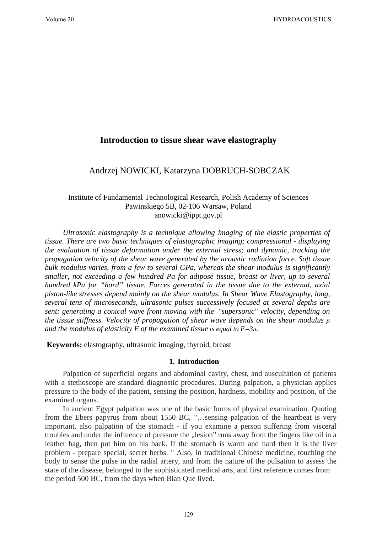# **Introduction to tissue shear wave elastography**

## Andrzej NOWICKI, Katarzyna DOBRUCH-SOBCZAK

## Institute of Fundamental Technological Research, Polish Academy of Sciences Pawinskiego 5B, 02-106 Warsaw, Poland anowicki@ippt.gov.pl

*Ultrasonic elastography is a technique allowing imaging of the elastic properties of tissue. There are two basic techniques of elastographic imaging; compressional - displaying the evaluation of tissue deformation under the external stress; and dynamic, tracking the propagation velocity of the shear wave generated by the acoustic radiation force. Soft tissue bulk modulus varies, from a few to several GPa, whereas the shear modulus is significantly smaller, not exceeding a few hundred Pa for adipose tissue, breast or liver, up to several hundred kPa for "hard" tissue. Forces generated in the tissue due to the external, axial piston-like stresses depend mainly on the shear modulus. In Shear Wave Elastography, long, several tens of microseconds, ultrasonic pulses successively focused at several depths are sent: generating a conical wave front moving with the "supersonic" velocity, depending on the tissue stiffness. Velocity of propagation of shear wave depends on the shear modulus μ and the modulus of elasticity E of the examined tissue is equal to E=3μ.* 

**Keywords:** elastography, ultrasonic imaging, thyroid, breast

#### **1. Introduction**

Palpation of superficial organs and abdominal cavity, chest, and auscultation of patients with a stethoscope are standard diagnostic procedures. During palpation, a physician applies pressure to the body of the patient, sensing the position, hardness, mobility and position, of the examined organs.

In ancient Egypt palpation was one of the basic forms of physical examination. Quoting from the Ebers papyrus from about 1550 BC, "…sensing palpation of the heartbeat is very important, also palpation of the stomach - if you examine a person suffering from visceral troubles and under the influence of pressure the "lesion" runs away from the fingers like oil in a leather bag, then put him on his back. If the stomach is warm and hard then it is the liver problem - prepare special, secret herbs. " Also, in traditional Chinese medicine, touching the body to sense the pulse in the radial artery, and from the nature of the pulsation to assess the state of the disease, belonged to the sophisticated medical arts, and first reference comes from the period 500 BC, from the days when Bian Que lived.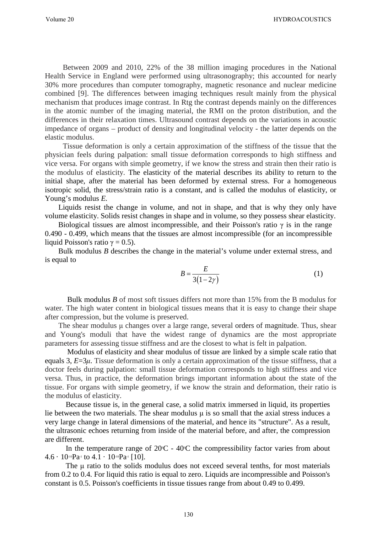Between 2009 and 2010, 22% of the 38 million imaging procedures in the National Health Service in England were performed using ultrasonography; this accounted for nearly 30% more procedures than computer tomography, magnetic resonance and nuclear medicine combined [9]. The differences between imaging techniques result mainly from the physical mechanism that produces image contrast. In Rtg the contrast depends mainly on the differences in the atomic number of the imaging material, the RMI on the proton distribution, and the differences in their relaxation times. Ultrasound contrast depends on the variations in acoustic impedance of organs – product of density and longitudinal velocity - the latter depends on the elastic modulus.

Tissue deformation is only a certain approximation of the stiffness of the tissue that the physician feels during palpation: small tissue deformation corresponds to high stiffness and vice versa. For organs with simple geometry, if we know the stress and strain then their ratio is the modulus of elasticity. The elasticity of the material describes its ability to return to the initial shape, after the material has been deformed by external stress. For a homogeneous isotropic solid, the stress/strain ratio is a constant, and is called the modulus of elasticity, or Young's modulus *E.*

Liquids resist the change in volume, and not in shape, and that is why they only have volume elasticity. Solids resist changes in shape and in volume, so they possess shear elasticity.

Biological tissues are almost incompressible, and their Poisson's ratio  $\gamma$  is in the range 0.490 - 0.499, which means that the tissues are almost incompressible (for an incompressible liquid Poisson's ratio  $\gamma = 0.5$ ).

Bulk modulus *B* describes the change in the material's volume under external stress, and is equal to

$$
B = \frac{E}{3(1-2\gamma)}\tag{1}
$$

Bulk modulus *B* of most soft tissues differs not more than 15% from the B modulus for water. The high water content in biological tissues means that it is easy to change their shape after compression, but the volume is preserved.

The shear modulus μ changes over a large range, several orders of magnitude. Thus, shear and Young's moduli that have the widest range of dynamics are the most appropriate parameters for assessing tissue stiffness and are the closest to what is felt in palpation.

Modulus of elasticity and shear modulus of tissue are linked by a simple scale ratio that equals 3,  $E=3\mu$ . Tissue deformation is only a certain approximation of the tissue stiffness, that a doctor feels during palpation: small tissue deformation corresponds to high stiffness and vice versa. Thus, in practice, the deformation brings important information about the state of the tissue. For organs with simple geometry, if we know the strain and deformation, their ratio is the modulus of elasticity.

Because tissue is, in the general case, a solid matrix immersed in liquid, its properties lie between the two materials. The shear modulus μ is so small that the axial stress induces a very large change in lateral dimensions of the material, and hence its "structure". As a result, the ultrasonic echoes returning from inside of the material before, and after, the compression are different.

In the temperature range of  $20^{\circ}\text{C}$  -  $40^{\circ}\text{C}$  the compressibility factor varies from about  $4.6 \cdot 10^{10}$ Pa<sup>-1</sup> to  $4.1 \cdot 10^{10}$ Pa<sup>-1</sup> [10].

The μ ratio to the solids modulus does not exceed several tenths, for most materials from 0.2 to 0.4. For liquid this ratio is equal to zero. Liquids are incompressible and Poisson's constant is 0.5. Poisson's coefficients in tissue tissues range from about 0.49 to 0.499.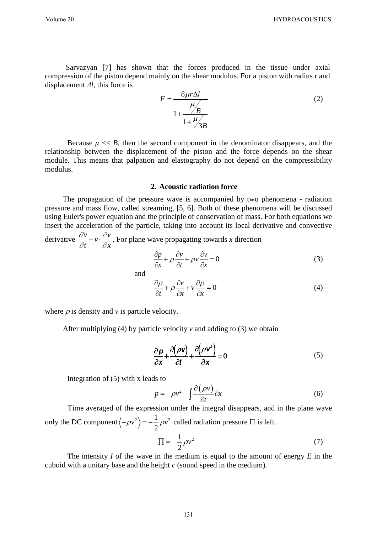Sarvazyan [7] has shown that the forces produced in the tissue under axial compression of the piston depend mainly on the shear modulus. For a piston with radius r and displacement *Δl*, this force is

$$
F = \frac{8\mu r \Delta l}{1 + \frac{\mu}{B}}
$$
 (2)

Because  $\mu \ll B$ , then the second component in the denominator disappears, and the relationship between the displacement of the piston and the force depends on the shear module. This means that palpation and elastography do not depend on the compressibility modulus.

#### **2. Acoustic radiation force**

The propagation of the pressure wave is accompanied by two phenomena - radiation pressure and mass flow, called streaming, [5, 6]. Both of these phenomena will be discussed using Euler's power equation and the principle of conservation of mass. For both equations we insert the acceleration of the particle, taking into account its local derivative and convective  $\partial v$  ∂

derivative  $\frac{\partial v}{\partial x} + v \cdot \frac{\partial v}{\partial y}$ *t x*  $\frac{\partial u}{\partial t} + v \cdot \frac{\partial v}{\partial x}$ . For plane wave propagating towards *x* direction

$$
\frac{\partial p}{\partial x} + \rho \frac{\partial v}{\partial t} + \rho v \frac{\partial v}{\partial x} = 0
$$
\n(3)

and

$$
\frac{\partial \rho}{\partial t} + \rho \frac{\partial v}{\partial x} + v \frac{\partial \rho}{\partial x} = 0
$$
\n(4)

where  $\rho$  is density and  $\nu$  is particle velocity.

After multiplying (4) by particle velocity  $v$  and adding to (3) we obtain

$$
\frac{\partial \mathbf{p}}{\partial \mathbf{x}} + \frac{\partial (\rho \mathbf{v})}{\partial t} + \frac{\partial (\rho \mathbf{v}^2)}{\partial \mathbf{x}} = 0
$$
 (5)

Integration of (5) with x leads to

$$
p = -\rho v^2 - \int \frac{\partial (\rho v)}{\partial t} \partial x \tag{6}
$$

Time averaged of the expression under the integral disappears, and in the plane wave only the DC component  $\left\langle -\rho v^2 \right\rangle = -\frac{1}{2} \rho v^2$  called radiation pressure  $\Pi$  is left.

$$
\Pi = -\frac{1}{2}\rho v^2 \tag{7}
$$

The intensity *I* of the wave in the medium is equal to the amount of energy *E* in the cuboid with a unitary base and the height *c* (sound speed in the medium).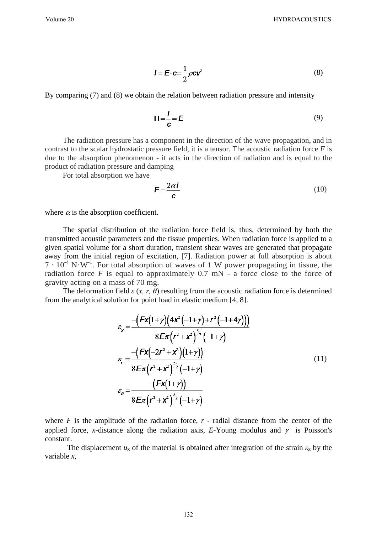$$
I = E \cdot c = \frac{1}{2} \rho c v^2 \tag{8}
$$

By comparing (7) and (8) we obtain the relation between radiation pressure and intensity

$$
\Pi = \frac{I}{c} = E \tag{9}
$$

The radiation pressure has a component in the direction of the wave propagation, and in contrast to the scalar hydrostatic pressure field, it is a tensor. The acoustic radiation force *F* is due to the absorption phenomenon - it acts in the direction of radiation and is equal to the product of radiation pressure and damping

For total absorption we have

$$
F = \frac{2\alpha l}{c} \tag{10}
$$

where  $\alpha$  is the absorption coefficient.

The spatial distribution of the radiation force field is, thus, determined by both the transmitted acoustic parameters and the tissue properties. When radiation force is applied to a given spatial volume for a short duration, transient shear waves are generated that propagate away from the initial region of excitation, [7]. Radiation power at full absorption is about  $7 \cdot 10^{-4}$  N·W<sup>-1</sup>. For total absorption of waves of 1 W power propagating in tissue, the radiation force  $F$  is equal to approximately  $0.7$  mN - a force close to the force of gravity acting on a mass of 70 mg.

The deformation field  $\varepsilon$  (*x, r, θ*) resulting from the acoustic radiation force is determined from the analytical solution for point load in elastic medium [4, 8].

$$
\varepsilon_{x} = \frac{-\left(Fx(1+\gamma)(4x^{2}(-1+\gamma)+r^{2}(-1+4\gamma))\right)}{8E\pi(r^{2}+x^{2})^{5/2}(-1+\gamma)}
$$
\n
$$
\varepsilon_{r} = \frac{-\left(Fx(-2r^{2}+x^{2})(1+\gamma)\right)}{8E\pi(r^{2}+x^{2})^{5/2}(-1+\gamma)}
$$
\n
$$
\varepsilon_{\theta} = \frac{-\left(Fx(1+\gamma)\right)}{8E\pi(r^{2}+x^{2})^{5/2}(-1+\gamma)}
$$
\n(11)

where  $F$  is the amplitude of the radiation force,  $r$  - radial distance from the center of the applied force, *x*-distance along the radiation axis, *E*-Young modulus and  $\gamma$  is Poisson's constant.

The displacement  $u_x$  of the material is obtained after integration of the strain  $\varepsilon_x$  by the variable *x*,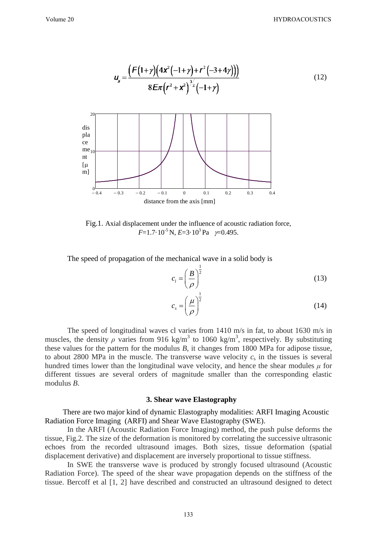$$
u_x = \frac{F(1+y)(4x^2(-1+y)+r^2(-3+4y)))}{8Ex(r^2+x^2)^{\frac{3}{2}}(-1+y)}
$$
(12)  
  
\ndis  
\nthe  
\nthe  
\nth  
\n
$$
\lim_{\substack{0 \text{at } n \to 0}} \frac{e}{(1+y)(1+y)} = 0
$$
  
\n
$$
\lim_{\substack{0 \to 4 \to -0.3 \text{at } n \to 0.2 \text{at } n \to 0}} \frac{e}{(1+y)(1+y)} = 0
$$
  
\ndistance from the axis [mm]

Fig.1. Axial displacement under the influence of acoustic radiation force,  $F=1.7\cdot 10^{-5}$  N,  $E=3\cdot 10^{3}$  Pa  $\gamma=0.495$ .

The speed of propagation of the mechanical wave in a solid body is

$$
c_i = \left(\frac{B}{\rho}\right)^{\frac{1}{2}}
$$
\n(13)

$$
c_s = \left(\frac{\mu}{\rho}\right)^{\frac{1}{2}}\tag{14}
$$

The speed of longitudinal waves cl varies from 1410 m/s in fat, to about 1630 m/s in muscles, the density  $\rho$  varies from 916 kg/m<sup>3</sup> to 1060 kg/m<sup>3</sup>, respectively. By substituting these values for the pattern for the modulus *B*, it changes from 1800 MPa for adipose tissue, to about 2800 MPa in the muscle. The transverse wave velocity  $c_s$  in the tissues is several hundred times lower than the longitudinal wave velocity, and hence the shear modules  $\mu$  for different tissues are several orders of magnitude smaller than the corresponding elastic modulus *B*.

#### **3. Shear wave Elastography**

There are two major kind of dynamic Elastography modalities: ARFI Imaging Acoustic Radiation Force Imaging (ARFI) and Shear Wave Elastography (SWE).

In the ARFI (Acoustic Radiation Force Imaging) method, the push pulse deforms the tissue, Fig.2. The size of the deformation is monitored by correlating the successive ultrasonic echoes from the recorded ultrasound images. Both sizes, tissue deformation (spatial displacement derivative) and displacement are inversely proportional to tissue stiffness.

In SWE the transverse wave is produced by strongly focused ultrasound (Acoustic Radiation Force). The speed of the shear wave propagation depends on the stiffness of the tissue. Bercoff et al [1, 2] have described and constructed an ultrasound designed to detect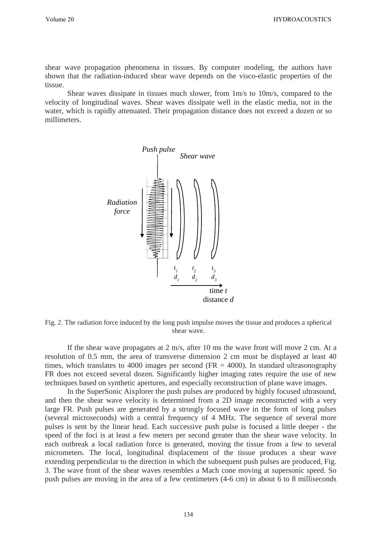shear wave propagation phenomena in tissues. By computer modeling, the authors have shown that the radiation-induced shear wave depends on the visco-elastic properties of the tissue.

Shear waves dissipate in tissues much slower, from 1m/s to 10m/s, compared to the velocity of longitudinal waves. Shear waves dissipate well in the elastic media, not in the water, which is rapidly attenuated. Their propagation distance does not exceed a dozen or so millimeters.



Fig. 2. The radiation force induced by the long push impulse moves the tissue and produces a spherical shear wave.

If the shear wave propagates at 2 m/s, after 10 ms the wave front will move 2 cm. At a resolution of 0.5 mm, the area of transverse dimension 2 cm must be displayed at least 40 times, which translates to 4000 images per second (FR  $=$  4000). In standard ultrasonography FR does not exceed several dozen. Significantly higher imaging rates require the use of new techniques based on synthetic apertures, and especially reconstruction of plane wave images.

In the SuperSonic Aixplorer the push pulses are produced by highly focused ultrasound, and then the shear wave velocity is determined from a 2D image reconstructed with a very large FR. Push pulses are generated by a strongly focused wave in the form of long pulses (several microseconds) with a central frequency of 4 MHz. The sequence of several more pulses is sent by the linear head. Each successive push pulse is focused a little deeper - the speed of the foci is at least a few meters per second greater than the shear wave velocity. In each outbreak a local radiation force is generated, moving the tissue from a few to several micrometers. The local, longitudinal displacement of the tissue produces a shear wave extending perpendicular to the direction in which the subsequent push pulses are produced, Fig. 3. The wave front of the shear waves resembles a Mach cone moving at supersonic speed. So push pulses are moving in the area of a few centimeters (4-6 cm) in about 6 to 8 milliseconds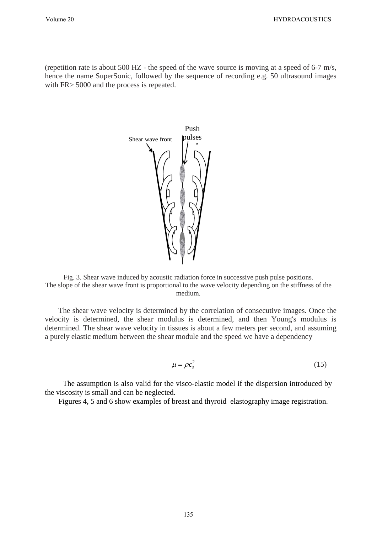(repetition rate is about 500 HZ - the speed of the wave source is moving at a speed of 6-7 m/s, hence the name SuperSonic, followed by the sequence of recording e.g. 50 ultrasound images with FR $>$  5000 and the process is repeated.



Fig. 3. Shear wave induced by acoustic radiation force in successive push pulse positions. The slope of the shear wave front is proportional to the wave velocity depending on the stiffness of the medium.

The shear wave velocity is determined by the correlation of consecutive images. Once the velocity is determined, the shear modulus is determined, and then Young's modulus is determined. The shear wave velocity in tissues is about a few meters per second, and assuming a purely elastic medium between the shear module and the speed we have a dependency

$$
\mu = \rho c_s^2 \tag{15}
$$

The assumption is also valid for the visco-elastic model if the dispersion introduced by the viscosity is small and can be neglected.

Figures 4, 5 and 6 show examples of breast and thyroid elastography image registration.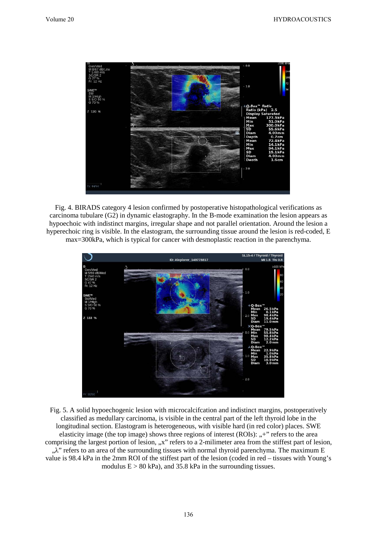

Fig. 4. BIRADS category 4 lesion confirmed by postoperative histopathological verifications as carcinoma tubulare (G2) in dynamic elastography. In the B-mode examination the lesion appears as hypoechoic with indistinct margins, irregular shape and not parallel orientation. Around the lesion a hyperechoic ring is visible. In the elastogram, the surrounding tissue around the lesion is red-coded, E max=300kPa, which is typical for cancer with desmoplastic reaction in the parenchyma.



Fig. 5. A solid hypoechogenic lesion with microcalcifcation and indistinct margins, postoperatively classified as medullary carcinoma, is visible in the central part of the left thyroid lobe in the longitudinal section. Elastogram is heterogeneous, with visible hard (in red color) places. SWE elasticity image (the top image) shows three regions of interest  $(ROIs):$ , +" refers to the area comprising the largest portion of lesion, "x" refers to a 2-milimeter area from the stiffest part of lesion, ,,λ" refers to an area of the surrounding tissues with normal thyroid parenchyma. The maximum E value is 98.4 kPa in the 2mm ROI of the stiffest part of the lesion (coded in red – tissues with Young's modulus  $E > 80$  kPa), and 35.8 kPa in the surrounding tissues.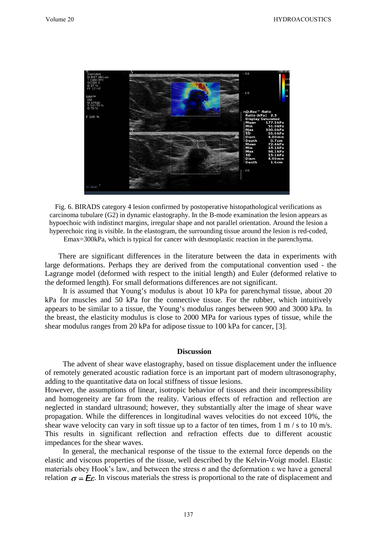

Fig. 6. BIRADS category 4 lesion confirmed by postoperative histopathological verifications as carcinoma tubulare (G2) in dynamic elastography. In the B-mode examination the lesion appears as hypoechoic with indistinct margins, irregular shape and not parallel orientation. Around the lesion a hyperechoic ring is visible. In the elastogram, the surrounding tissue around the lesion is red-coded, Emax=300kPa, which is typical for cancer with desmoplastic reaction in the parenchyma.

There are significant differences in the literature between the data in experiments with large deformations. Perhaps they are derived from the computational convention used - the Lagrange model (deformed with respect to the initial length) and Euler (deformed relative to the deformed length). For small deformations differences are not significant.

It is assumed that Young's modulus is about 10 kPa for parenchymal tissue, about 20 kPa for muscles and 50 kPa for the connective tissue. For the rubber, which intuitively appears to be similar to a tissue, the Young's modulus ranges between 900 and 3000 kPa. In the breast, the elasticity modulus is close to 2000 MPa for various types of tissue, while the shear modulus ranges from 20 kPa for adipose tissue to 100 kPa for cancer, [3].

#### **Discussion**

The advent of shear wave elastography, based on tissue displacement under the influence of remotely generated acoustic radiation force is an important part of modern ultrasonography, adding to the quantitative data on local stiffness of tissue lesions.

However, the assumptions of linear, isotropic behavior of tissues and their incompressibility and homogeneity are far from the reality. Various effects of refraction and reflection are neglected in standard ultrasound; however, they substantially alter the image of shear wave propagation. While the differences in longitudinal waves velocities do not exceed 10%, the shear wave velocity can vary in soft tissue up to a factor of ten times, from 1 m / s to 10 m/s. This results in significant reflection and refraction effects due to different acoustic impedances for the shear waves.

In general, the mechanical response of the tissue to the external force depends on the elastic and viscous properties of the tissue, well described by the Kelvin-Voigt model. Elastic materials obey Hook's law, and between the stress  $\sigma$  and the deformation  $\varepsilon$  we have a general relation  $\sigma = E \varepsilon$ . In viscous materials the stress is proportional to the rate of displacement and